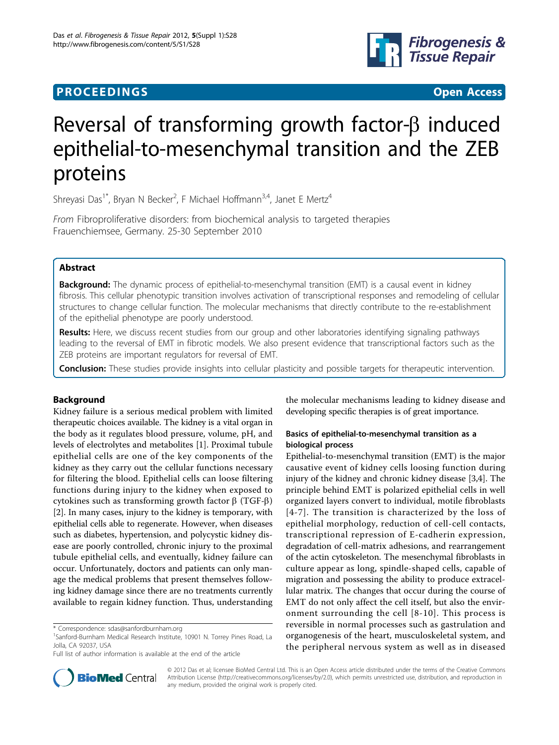## **PROCEEDINGS STATES CONSUMING S** Open Access **CONSUMING S**



# Reversal of transforming growth factor- $\beta$  induced epithelial-to-mesenchymal transition and the ZEB proteins

Shreyasi Das<sup>1\*</sup>, Bryan N Becker<sup>2</sup>, F Michael Hoffmann<sup>3,4</sup>, Janet E Mertz<sup>4</sup>

From Fibroproliferative disorders: from biochemical analysis to targeted therapies Frauenchiemsee, Germany. 25-30 September 2010

## Abstract

Background: The dynamic process of epithelial-to-mesenchymal transition (EMT) is a causal event in kidney fibrosis. This cellular phenotypic transition involves activation of transcriptional responses and remodeling of cellular structures to change cellular function. The molecular mechanisms that directly contribute to the re-establishment of the epithelial phenotype are poorly understood.

Results: Here, we discuss recent studies from our group and other laboratories identifying signaling pathways leading to the reversal of EMT in fibrotic models. We also present evidence that transcriptional factors such as the ZEB proteins are important regulators for reversal of EMT.

Conclusion: These studies provide insights into cellular plasticity and possible targets for therapeutic intervention.

## Background

Kidney failure is a serious medical problem with limited therapeutic choices available. The kidney is a vital organ in the body as it regulates blood pressure, volume, pH, and levels of electrolytes and metabolites [\[1\]](#page-3-0). Proximal tubule epithelial cells are one of the key components of the kidney as they carry out the cellular functions necessary for filtering the blood. Epithelial cells can loose filtering functions during injury to the kidney when exposed to cytokines such as transforming growth factor  $\beta$  (TGF- $\beta$ ) [[2\]](#page-3-0). In many cases, injury to the kidney is temporary, with epithelial cells able to regenerate. However, when diseases such as diabetes, hypertension, and polycystic kidney disease are poorly controlled, chronic injury to the proximal tubule epithelial cells, and eventually, kidney failure can occur. Unfortunately, doctors and patients can only manage the medical problems that present themselves following kidney damage since there are no treatments currently available to regain kidney function. Thus, understanding



## Basics of epithelial-to-mesenchymal transition as a biological process

Epithelial-to-mesenchymal transition (EMT) is the major causative event of kidney cells loosing function during injury of the kidney and chronic kidney disease [\[3,4](#page-3-0)]. The principle behind EMT is polarized epithelial cells in well organized layers convert to individual, motile fibroblasts [[4-7](#page-3-0)]. The transition is characterized by the loss of epithelial morphology, reduction of cell-cell contacts, transcriptional repression of E-cadherin expression, degradation of cell-matrix adhesions, and rearrangement of the actin cytoskeleton. The mesenchymal fibroblasts in culture appear as long, spindle-shaped cells, capable of migration and possessing the ability to produce extracellular matrix. The changes that occur during the course of EMT do not only affect the cell itself, but also the environment surrounding the cell [[8-10\]](#page-3-0). This process is reversible in normal processes such as gastrulation and organogenesis of the heart, musculoskeletal system, and the peripheral nervous system as well as in diseased



© 2012 Das et al; licensee BioMed Central Ltd. This is an Open Access article distributed under the terms of the Creative Commons Attribution License [\(http://creativecommons.org/licenses/by/2.0](http://creativecommons.org/licenses/by/2.0)), which permits unrestricted use, distribution, and reproduction in any medium, provided the original work is properly cited.

<sup>\*</sup> Correspondence: [sdas@sanfordburnham.org](mailto:sdas@sanfordburnham.org)

<sup>&</sup>lt;sup>1</sup>Sanford-Burnham Medical Research Institute, 10901 N. Torrey Pines Road, La Jolla, CA 92037, USA

Full list of author information is available at the end of the article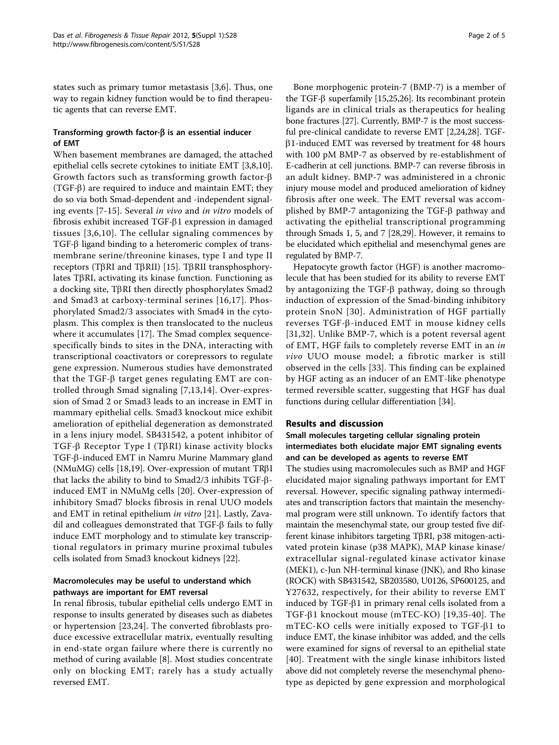states such as primary tumor metastasis [[3,6\]](#page-3-0). Thus, one way to regain kidney function would be to find therapeutic agents that can reverse EMT.

## Transforming growth factor- $\beta$  is an essential inducer of EMT

When basement membranes are damaged, the attached epithelial cells secrete cytokines to initiate EMT [[3,8,10](#page-3-0)]. Growth factors such as transforming growth factor- $\beta$ (TGF- $\beta$ ) are required to induce and maintain EMT; they do so via both Smad-dependent and -independent signaling events [[7-15\]](#page-3-0). Several in vivo and in vitro models of fibrosis exhibit increased TGF- $\beta$ 1 expression in damaged tissues [[3,6,10\]](#page-3-0). The cellular signaling commences by TGF-b ligand binding to a heteromeric complex of transmembrane serine/threonine kinases, type I and type II receptors (T $\beta$ RI and T $\beta$ RII) [\[15\]](#page-3-0). T $\beta$ RII transphosphorylates T $\beta$ RI, activating its kinase function. Functioning as a docking site, T $\beta$ RI then directly phosphorylates Smad2 and Smad3 at carboxy-terminal serines [[16](#page-3-0),[17](#page-3-0)]. Phosphorylated Smad2/3 associates with Smad4 in the cytoplasm. This complex is then translocated to the nucleus where it accumulates [\[17](#page-3-0)]. The Smad complex sequencespecifically binds to sites in the DNA, interacting with transcriptional coactivators or corepressors to regulate gene expression. Numerous studies have demonstrated that the TGF- $\beta$  target genes regulating EMT are controlled through Smad signaling [[7,13](#page-3-0),[14](#page-3-0)]. Over-expression of Smad 2 or Smad3 leads to an increase in EMT in mammary epithelial cells. Smad3 knockout mice exhibit amelioration of epithelial degeneration as demonstrated in a lens injury model. SB431542, a potent inhibitor of TGF- $\beta$  Receptor Type I (T $\beta$ RI) kinase activity blocks TGF-b-induced EMT in Namru Murine Mammary gland (NMuMG) cells [\[18,19](#page-3-0)]. Over-expression of mutant TRbI that lacks the ability to bind to Smad2/3 inhibits TGF-binduced EMT in NMuMg cells [\[20](#page-3-0)]. Over-expression of inhibitory Smad7 blocks fibrosis in renal UUO models and EMT in retinal epithelium in vitro [[21](#page-3-0)]. Lastly, Zavadil and colleagues demonstrated that TGF-β fails to fully induce EMT morphology and to stimulate key transcriptional regulators in primary murine proximal tubules cells isolated from Smad3 knockout kidneys [[22\]](#page-3-0).

## Macromolecules may be useful to understand which pathways are important for EMT reversal

In renal fibrosis, tubular epithelial cells undergo EMT in response to insults generated by diseases such as diabetes or hypertension [[23,24\]](#page-4-0). The converted fibroblasts produce excessive extracellular matrix, eventually resulting in end-state organ failure where there is currently no method of curing available [[8\]](#page-3-0). Most studies concentrate only on blocking EMT; rarely has a study actually reversed EMT.

Bone morphogenic protein-7 (BMP-7) is a member of the TGF- $\beta$  superfamily [\[15](#page-3-0)[,25,26](#page-4-0)]. Its recombinant protein ligands are in clinical trials as therapeutics for healing bone fractures [[27](#page-4-0)]. Currently, BMP-7 is the most successful pre-clinical candidate to reverse EMT [\[2,](#page-3-0)[24,28\]](#page-4-0). TGF- $\beta$ 1-induced EMT was reversed by treatment for 48 hours with 100 pM BMP-7 as observed by re-establishment of E-cadherin at cell junctions. BMP-7 can reverse fibrosis in an adult kidney. BMP-7 was administered in a chronic injury mouse model and produced amelioration of kidney fibrosis after one week. The EMT reversal was accomplished by BMP-7 antagonizing the TGF- $\beta$  pathway and activating the epithelial transcriptional programming through Smads 1, 5, and 7 [[28,29](#page-4-0)]. However, it remains to be elucidated which epithelial and mesenchymal genes are regulated by BMP-7.

Hepatocyte growth factor (HGF) is another macromolecule that has been studied for its ability to reverse EMT by antagonizing the TGF- $\beta$  pathway, doing so through induction of expression of the Smad-binding inhibitory protein SnoN [[30](#page-4-0)]. Administration of HGF partially reverses TGF-b-induced EMT in mouse kidney cells [[31,32\]](#page-4-0). Unlike BMP-7, which is a potent reversal agent of EMT, HGF fails to completely reverse EMT in an in vivo UUO mouse model; a fibrotic marker is still observed in the cells [\[33](#page-4-0)]. This finding can be explained by HGF acting as an inducer of an EMT-like phenotype termed reversible scatter, suggesting that HGF has dual functions during cellular differentiation [[34](#page-4-0)].

## Results and discussion

## Small molecules targeting cellular signaling protein intermediates both elucidate major EMT signaling events and can be developed as agents to reverse EMT

The studies using macromolecules such as BMP and HGF elucidated major signaling pathways important for EMT reversal. However, specific signaling pathway intermediates and transcription factors that maintain the mesenchymal program were still unknown. To identify factors that maintain the mesenchymal state, our group tested five different kinase inhibitors targeting T $\beta$ RI, p38 mitogen-activated protein kinase (p38 MAPK), MAP kinase kinase/ extracellular signal-regulated kinase activator kinase (MEK1), c-Jun NH-terminal kinase (JNK), and Rho kinase (ROCK) with SB431542, SB203580, U0126, SP600125, and Y27632, respectively, for their ability to reverse EMT induced by  $TGF- $\beta$ 1$  in primary renal cells isolated from a TGF-b1 knockout mouse (mTEC-KO) [[19](#page-3-0),[35-40\]](#page-4-0). The mTEC-KO cells were initially exposed to TGF- $\beta$ 1 to induce EMT, the kinase inhibitor was added, and the cells were examined for signs of reversal to an epithelial state [[40](#page-4-0)]. Treatment with the single kinase inhibitors listed above did not completely reverse the mesenchymal phenotype as depicted by gene expression and morphological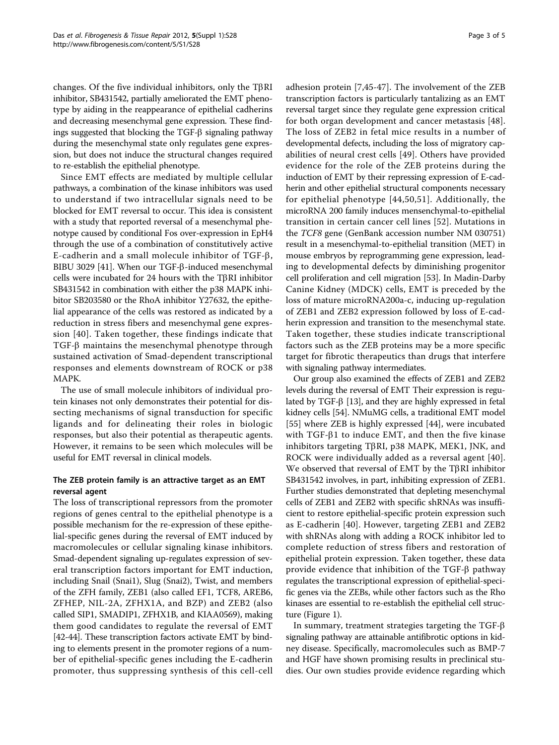changes. Of the five individual inhibitors, only the  $T\beta RI$ inhibitor, SB431542, partially ameliorated the EMT phenotype by aiding in the reappearance of epithelial cadherins and decreasing mesenchymal gene expression. These findings suggested that blocking the TGF- $\beta$  signaling pathway during the mesenchymal state only regulates gene expression, but does not induce the structural changes required to re-establish the epithelial phenotype.

Since EMT effects are mediated by multiple cellular pathways, a combination of the kinase inhibitors was used to understand if two intracellular signals need to be blocked for EMT reversal to occur. This idea is consistent with a study that reported reversal of a mesenchymal phenotype caused by conditional Fos over-expression in EpH4 through the use of a combination of constitutively active E-cadherin and a small molecule inhibitor of TGF-b, BIBU 3029 [[41\]](#page-4-0). When our TGF-ß-induced mesenchymal cells were incubated for 24 hours with the T $\beta$ RI inhibitor SB431542 in combination with either the p38 MAPK inhibitor SB203580 or the RhoA inhibitor Y27632, the epithelial appearance of the cells was restored as indicated by a reduction in stress fibers and mesenchymal gene expression [[40\]](#page-4-0). Taken together, these findings indicate that  $TGF- $\beta$  maintains the mesenchymal phenotype through$ sustained activation of Smad-dependent transcriptional responses and elements downstream of ROCK or p38 MAPK.

The use of small molecule inhibitors of individual protein kinases not only demonstrates their potential for dissecting mechanisms of signal transduction for specific ligands and for delineating their roles in biologic responses, but also their potential as therapeutic agents. However, it remains to be seen which molecules will be useful for EMT reversal in clinical models.

## The ZEB protein family is an attractive target as an EMT reversal agent

The loss of transcriptional repressors from the promoter regions of genes central to the epithelial phenotype is a possible mechanism for the re-expression of these epithelial-specific genes during the reversal of EMT induced by macromolecules or cellular signaling kinase inhibitors. Smad-dependent signaling up-regulates expression of several transcription factors important for EMT induction, including Snail (Snai1), Slug (Snai2), Twist, and members of the ZFH family, ZEB1 (also called EF1, TCF8, AREB6, ZFHEP, NIL-2A, ZFHX1A, and BZP) and ZEB2 (also called SIP1, SMADIP1, ZFHX1B, and KIAA0569), making them good candidates to regulate the reversal of EMT [[42](#page-4-0)-[44](#page-4-0)]. These transcription factors activate EMT by binding to elements present in the promoter regions of a number of epithelial-specific genes including the E-cadherin promoter, thus suppressing synthesis of this cell-cell adhesion protein [[7,](#page-3-0)[45](#page-4-0)-[47\]](#page-4-0). The involvement of the ZEB transcription factors is particularly tantalizing as an EMT reversal target since they regulate gene expression critical for both organ development and cancer metastasis [\[48](#page-4-0)]. The loss of ZEB2 in fetal mice results in a number of developmental defects, including the loss of migratory capabilities of neural crest cells [[49](#page-4-0)]. Others have provided evidence for the role of the ZEB proteins during the induction of EMT by their repressing expression of E-cadherin and other epithelial structural components necessary for epithelial phenotype [[44,50,51\]](#page-4-0). Additionally, the microRNA 200 family induces mensenchymal-to-epithelial transition in certain cancer cell lines [[52\]](#page-4-0). Mutations in the TCF8 gene (GenBank accession number NM 030751) result in a mesenchymal-to-epithelial transition (MET) in mouse embryos by reprogramming gene expression, leading to developmental defects by diminishing progenitor cell proliferation and cell migration [[53](#page-4-0)]. In Madin-Darby Canine Kidney (MDCK) cells, EMT is preceded by the loss of mature microRNA200a-c, inducing up-regulation of ZEB1 and ZEB2 expression followed by loss of E-cadherin expression and transition to the mesenchymal state. Taken together, these studies indicate transcriptional factors such as the ZEB proteins may be a more specific target for fibrotic therapeutics than drugs that interfere with signaling pathway intermediates.

Our group also examined the effects of ZEB1 and ZEB2 levels during the reversal of EMT Their expression is regu-lated by TGF-β [\[13\]](#page-3-0), and they are highly expressed in fetal kidney cells [\[54](#page-4-0)]. NMuMG cells, a traditional EMT model [[55\]](#page-4-0) where ZEB is highly expressed [[44\]](#page-4-0), were incubated with TGF- $\beta$ 1 to induce EMT, and then the five kinase inhibitors targeting T $\beta$ RI, p38 MAPK, MEK1, JNK, and ROCK were individually added as a reversal agent [[40](#page-4-0)]. We observed that reversal of EMT by the T $\beta$ RI inhibitor SB431542 involves, in part, inhibiting expression of ZEB1. Further studies demonstrated that depleting mesenchymal cells of ZEB1 and ZEB2 with specific shRNAs was insufficient to restore epithelial-specific protein expression such as E-cadherin [[40\]](#page-4-0). However, targeting ZEB1 and ZEB2 with shRNAs along with adding a ROCK inhibitor led to complete reduction of stress fibers and restoration of epithelial protein expression. Taken together, these data provide evidence that inhibition of the TGF- $\beta$  pathway regulates the transcriptional expression of epithelial-specific genes via the ZEBs, while other factors such as the Rho kinases are essential to re-establish the epithelial cell structure (Figure [1](#page-3-0)).

In summary, treatment strategies targeting the TGF- $\beta$ signaling pathway are attainable antifibrotic options in kidney disease. Specifically, macromolecules such as BMP-7 and HGF have shown promising results in preclinical studies. Our own studies provide evidence regarding which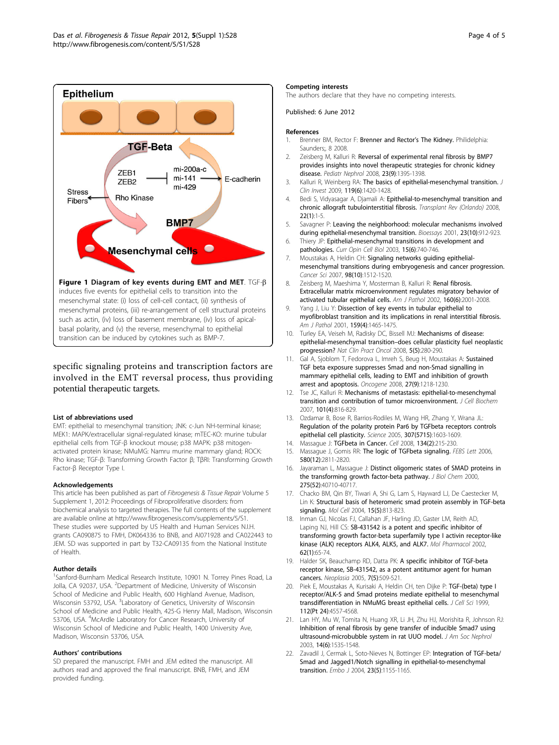<span id="page-3-0"></span>

specific signaling proteins and transcription factors are involved in the EMT reversal process, thus providing potential therapeutic targets.

#### List of abbreviations used

EMT: epithelial to mesenchymal transition; JNK: c-Jun NH-terminal kinase; MEK1: MAPK/extracellular signal-regulated kinase; mTEC-KO: murine tubular epithelial cells from TGF-β knockout mouse; p38 MAPK: p38 mitogenactivated protein kinase; NMuMG: Namru murine mammary gland; ROCK: Rho kinase; TGF-β: Transforming Growth Factor β; TβRI: Transforming Growth Factor-β Receptor Type I.

#### Acknowledgements

This article has been published as part of Fibrogenesis & Tissue Repair Volume 5 Supplement 1, 2012: Proceedings of Fibroproliferative disorders: from biochemical analysis to targeted therapies. The full contents of the supplement are available online at [http://www.fibrogenesis.com/supplements/5/S1.](http://www.fibrogenesis.com/supplements/5/S1) These studies were supported by US Health and Human Services N.I.H. grants CA090875 to FMH, DK064336 to BNB, and AI071928 and CA022443 to JEM. SD was supported in part by T32-CA09135 from the National Institute of Health.

#### Author details

<sup>1</sup>Sanford-Burnham Medical Research Institute, 10901 N. Torrey Pines Road, La Jolla, CA 92037, USA. <sup>2</sup>Department of Medicine, University of Wisconsin School of Medicine and Public Health, 600 Highland Avenue, Madison, Wisconsin 53792, USA. <sup>3</sup> Laboratory of Genetics, University of Wisconsin School of Medicine and Public Health, 425-G Henry Mall, Madison, Wisconsin 53706, USA. <sup>4</sup>McArdle Laboratory for Cancer Research, University of Wisconsin School of Medicine and Public Health, 1400 University Ave, Madison, Wisconsin 53706, USA.

#### Authors' contributions

SD prepared the manuscript. FMH and JEM edited the manuscript. All authors read and approved the final manuscript. BNB, FMH, and JEM provided funding.

#### Competing interests

The authors declare that they have no competing interests.

#### Published: 6 June 2012

#### **References**

- 1. Brenner BM, Rector F: Brenner and Rector's The Kidney. Philidelphia: Saunders;, 8 2008.
- Zeisberg M, Kalluri R: Reversal of experimental renal fibrosis by BMP7 provides insights into novel therapeutic strategies for chronic kidney disease. Pediatr Nephrol 2008, 23(9):1395-1398.
- 3. Kalluri R, Weinberg RA: The basics of epithelial-mesenchymal transition. J Clin Invest 2009, 119(6):1420-1428.
- 4. Bedi S, Vidyasagar A, Djamali A: Epithelial-to-mesenchymal transition and chronic allograft tubulointerstitial fibrosis. Transplant Rev (Orlando) 2008, 22(1):1-5.
- 5. Savagner P: Leaving the neighborhood: molecular mechanisms involved during epithelial-mesenchymal transition. Bioessays 2001, 23(10):912-923.
- 6. Thiery JP: Epithelial-mesenchymal transitions in development and pathologies. Curr Opin Cell Biol 2003, 15(6):740-746.
- 7. Moustakas A, Heldin CH: Signaling networks guiding epithelialmesenchymal transitions during embryogenesis and cancer progression. Cancer Sci 2007, 98(10):1512-1520.
- 8. Zeisberg M, Maeshima Y, Mosterman B, Kalluri R: Renal fibrosis. Extracellular matrix microenvironment regulates migratory behavior of activated tubular epithelial cells. Am J Pathol 2002, 160(6):2001-2008.
- 9. Yang J, Liu Y: Dissection of key events in tubular epithelial to myofibroblast transition and its implications in renal interstitial fibrosis. Am J Pathol 2001, 159(4):1465-1475.
- 10. Turley EA, Veiseh M, Radisky DC, Bissell MJ: Mechanisms of disease: epithelial-mesenchymal transition–does cellular plasticity fuel neoplastic progression? Nat Clin Pract Oncol 2008, 5(5):280-290.
- 11. Gal A, Sjoblom T, Fedorova L, Imreh S, Beug H, Moustakas A: Sustained TGF beta exposure suppresses Smad and non-Smad signalling in mammary epithelial cells, leading to EMT and inhibition of growth arrest and apoptosis. Oncogene 2008, 27(9):1218-1230.
- 12. Tse JC, Kalluri R: Mechanisms of metastasis: epithelial-to-mesenchymal transition and contribution of tumor microenvironment. J Cell Biochem 2007, 101(4):816-829.
- 13. Ozdamar B, Bose R, Barrios-Rodiles M, Wang HR, Zhang Y, Wrana JL: Regulation of the polarity protein Par6 by TGFbeta receptors controls epithelial cell plasticity. Science 2005, 307(5715):1603-1609.
- 14. Massague J: TGFbeta in Cancer. Cell 2008, 134(2):215-230.
- 15. Massague J, Gomis RR: The logic of TGFbeta signaling. FEBS Lett 2006, 580(12):2811-2820.
- 16. Jayaraman L, Massague J: Distinct oligomeric states of SMAD proteins in the transforming growth factor-beta pathway. J Biol Chem 2000, 275(52):40710-40717.
- 17. Chacko BM, Qin BY, Tiwari A, Shi G, Lam S, Hayward LJ, De Caestecker M, Lin K: Structural basis of heteromeric smad protein assembly in TGF-beta signaling. Mol Cell 2004, 15(5):813-823.
- 18. Inman GJ, Nicolas FJ, Callahan JF, Harling JD, Gaster LM, Reith AD, Laping NJ, Hill CS: SB-431542 is a potent and specific inhibitor of transforming growth factor-beta superfamily type I activin receptor-like kinase (ALK) receptors ALK4, ALK5, and ALK7. Mol Pharmacol 2002, 62(1):65-74.
- 19. Halder SK, Beauchamp RD, Datta PK: A specific inhibitor of TGF-beta receptor kinase, SB-431542, as a potent antitumor agent for human cancers. Neoplasia 2005, 7(5):509-521.
- 20. Piek E, Moustakas A, Kurisaki A, Heldin CH, ten Dijke P: TGF-(beta) type I receptor/ALK-5 and Smad proteins mediate epithelial to mesenchymal transdifferentiation in NMuMG breast epithelial cells. J Cell Sci 1999, 112(Pt 24):4557-4568.
- 21. Lan HY, Mu W, Tomita N, Huang XR, Li JH, Zhu HJ, Morishita R, Johnson RJ: Inhibition of renal fibrosis by gene transfer of inducible Smad7 using ultrasound-microbubble system in rat UUO model. J Am Soc Nephrol 2003, 14(6):1535-1548.
- 22. Zavadil J, Cermak L, Soto-Nieves N, Bottinger EP: Integration of TGF-beta/ Smad and Jagged1/Notch signalling in epithelial-to-mesenchymal transition. Embo J 2004, 23(5):1155-1165.